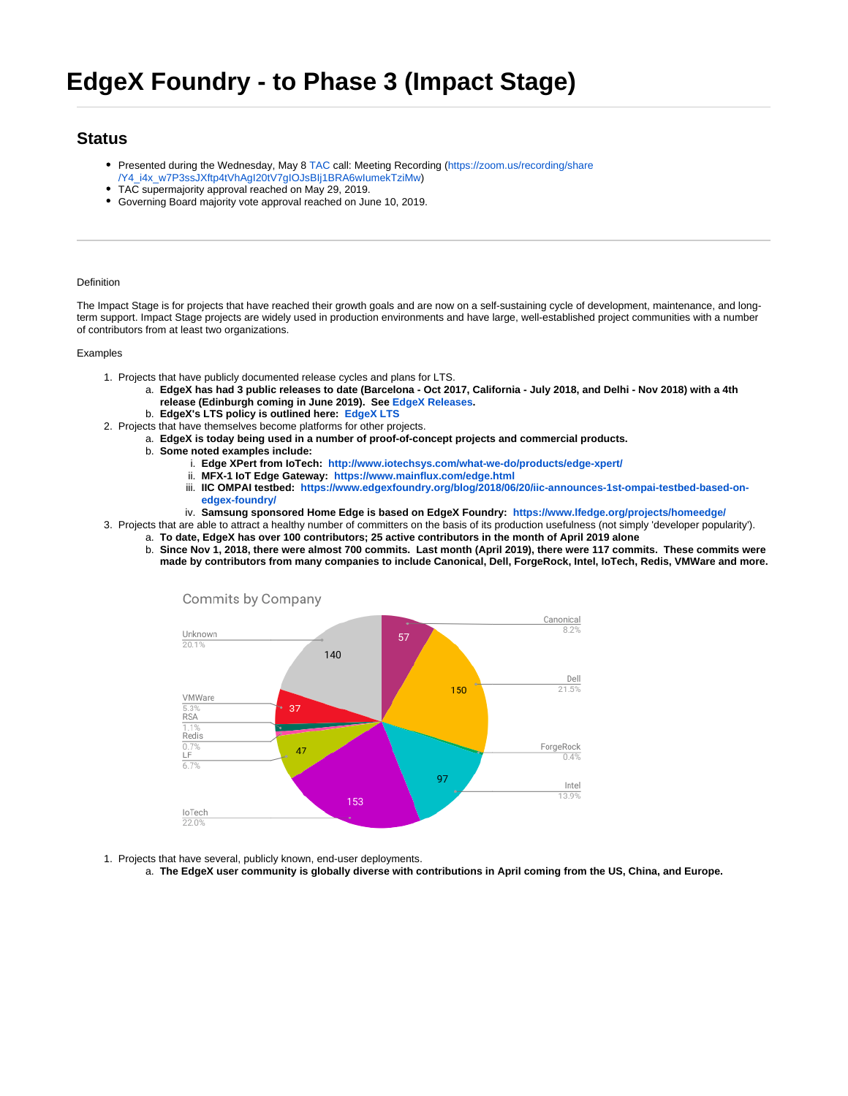# **Status**

- Presented during the Wednesday, May 8 [TAC](https://wiki.lfedge.org/pages/viewpage.action?pageId=1671298) call: Meeting Recording ([https://zoom.us/recording/share](https://zoom.us/recording/share/Y4_i4x_w7P3ssJXftp4tVhAgI20tV7gIOJsBIj1BRA6wIumekTziMw)
- [/Y4\\_i4x\\_w7P3ssJXftp4tVhAgI20tV7gIOJsBIj1BRA6wIumekTziMw\)](https://zoom.us/recording/share/Y4_i4x_w7P3ssJXftp4tVhAgI20tV7gIOJsBIj1BRA6wIumekTziMw) TAC supermajority approval reached on May 29, 2019.
- 
- Governing Board majority vote approval reached on June 10, 2019.

# Definition

The Impact Stage is for projects that have reached their growth goals and are now on a self-sustaining cycle of development, maintenance, and longterm support. Impact Stage projects are widely used in production environments and have large, well-established project communities with a number of contributors from at least two organizations.

## Examples

- 1. Projects that have publicly documented release cycles and plans for LTS.
	- a. **EdgeX has had 3 public releases to date (Barcelona Oct 2017, California July 2018, and Delhi Nov 2018) with a 4th release (Edinburgh coming in June 2019). See [EdgeX Releases](https://wiki.edgexfoundry.org/display/FA/Releases).**
	- b. **EdgeX's LTS policy is outlined here: [EdgeX LTS](https://wiki.edgexfoundry.org/display/FA/Long+Term+Support)**
- 2. Projects that have themselves become platforms for other projects.
	- a. **EdgeX is today being used in a number of proof-of-concept projects and commercial products.**
	- b. **Some noted examples include:**
		- i. **Edge XPert from IoTech: <http://www.iotechsys.com/what-we-do/products/edge-xpert/>**
		- ii. **MFX-1 IoT Edge Gateway: <https://www.mainflux.com/edge.html>**
		- iii. **IIC OMPAI testbed: [https://www.edgexfoundry.org/blog/2018/06/20/iic-announces-1st-ompai-testbed-based-on](https://www.edgexfoundry.org/blog/2018/06/20/iic-announces-1st-ompai-testbed-based-on-edgex-foundry/)[edgex-foundry/](https://www.edgexfoundry.org/blog/2018/06/20/iic-announces-1st-ompai-testbed-based-on-edgex-foundry/)**
		- iv. **Samsung sponsored Home Edge is based on EdgeX Foundry: <https://www.lfedge.org/projects/homeedge/>**
- 3. Projects that are able to attract a healthy number of committers on the basis of its production usefulness (not simply 'developer popularity').
	- a. **To date, EdgeX has over 100 contributors; 25 active contributors in the month of April 2019 alone** b. **Since Nov 1, 2018, there were almost 700 commits. Last month (April 2019), there were 117 commits. These commits were** 
		- **made by contributors from many companies to include Canonical, Dell, ForgeRock, Intel, IoTech, Redis, VMWare and more.**



- 1. Projects that have several, publicly known, end-user deployments.
	- a. **The EdgeX user community is globally diverse with contributions in April coming from the US, China, and Europe.**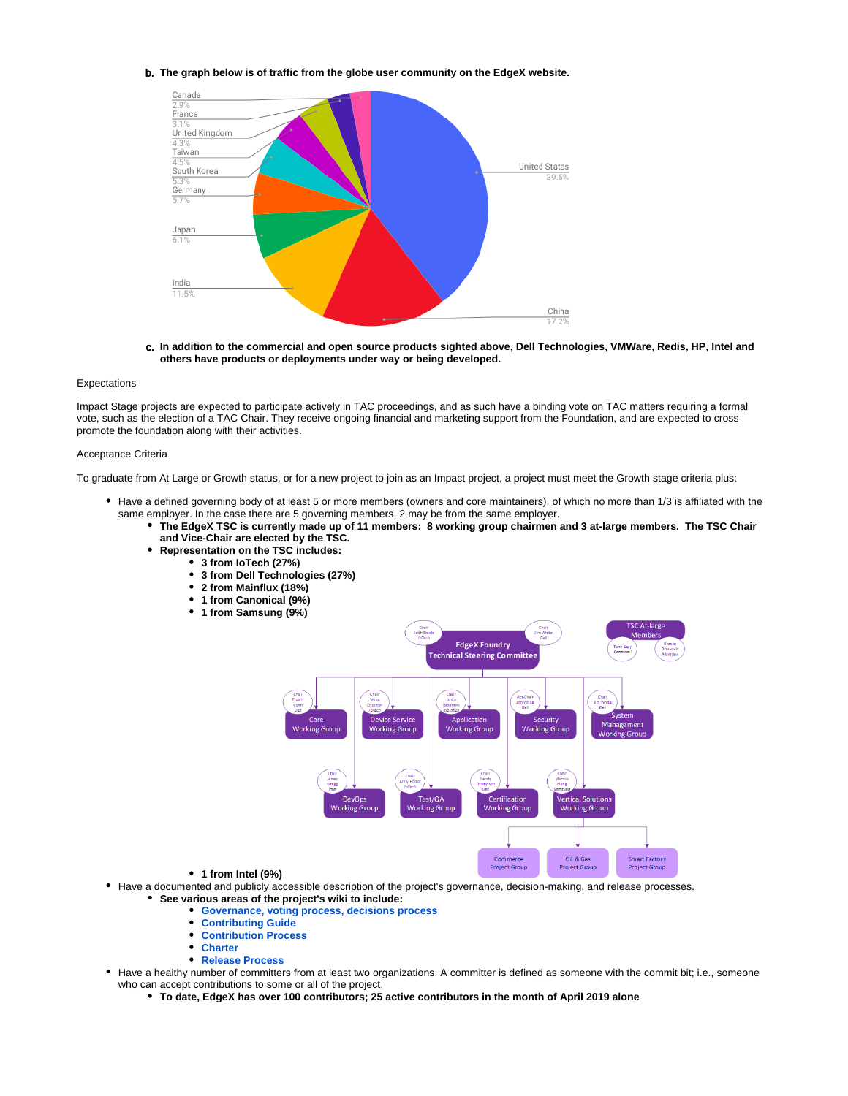#### b. **The graph below is of traffic from the globe user community on the EdgeX website.**



c. **In addition to the commercial and open source products sighted above, Dell Technologies, VMWare, Redis, HP, Intel and others have products or deployments under way or being developed.**

#### Expectations

Impact Stage projects are expected to participate actively in TAC proceedings, and as such have a binding vote on TAC matters requiring a formal vote, such as the election of a TAC Chair. They receive ongoing financial and marketing support from the Foundation, and are expected to cross promote the foundation along with their activities.

## Acceptance Criteria

To graduate from At Large or Growth status, or for a new project to join as an Impact project, a project must meet the Growth stage criteria plus:

- Have a defined governing body of at least 5 or more members (owners and core maintainers), of which no more than 1/3 is affiliated with the same employer. In the case there are 5 governing members, 2 may be from the same employer.
	- **The EdgeX TSC is currently made up of 11 members: 8 working group chairmen and 3 at-large members. The TSC Chair and Vice-Chair are elected by the TSC.**
	- **Representation on the TSC includes:**
		- **3 from IoTech (27%)**
		- **3 from Dell Technologies (27%)**
		- **2 from Mainflux (18%)**
		- **1 from Canonical (9%)**
		- **1 from Samsung (9%)**



- **1 from Intel (9%)**
- Have a documented and publicly accessible description of the project's governance, decision-making, and release processes. **See various areas of the project's wiki to include:**
	- **[Governance, voting process, decisions process](https://wiki.edgexfoundry.org/display/FA/Technical+Work+in+the+EdgeX+Foundry+Project)**
	- **[Contributing Guide](https://wiki.edgexfoundry.org/display/FA/Contributor%27s+Guide)**
	- **[Contribution Process](https://wiki.edgexfoundry.org/display/FA/Contributor%27s+Process)**  $\bullet$
	- $\bullet$ **[Charter](https://wiki.edgexfoundry.org/display/FA/Technical+Charter)**
	- **[Release Process](https://wiki.edgexfoundry.org/pages/viewpage.action?pageId=21823969)**
- Have a healthy number of committers from at least two organizations. A committer is defined as someone with the commit bit; i.e., someone who can accept contributions to some or all of the project.
	- **To date, EdgeX has over 100 contributors; 25 active contributors in the month of April 2019 alone**